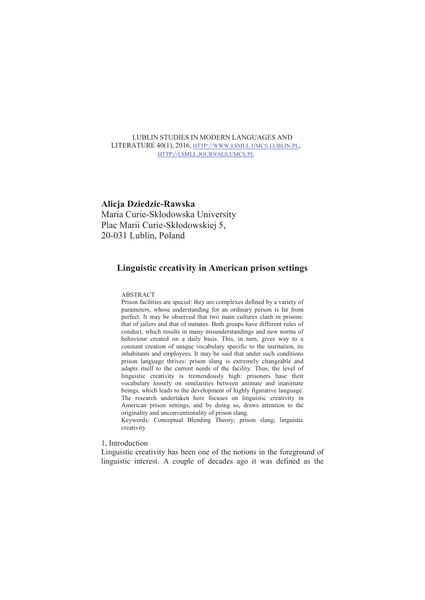# LUBLIN STUDIES IN MODERN LANGUAGES AND LITERATURE 40(1), 2016, HTTP://WWW.LSMLL.UMCS.LUBLIN.PL, HTTP://LSMLL.JOURNALS.UMCS.PL

# **Alicja Dziedzic-Rawska**

Maria Curie-Skłodowska University Plac Marii Curie-Skłodowskiej 5, 20-031 Lublin, Poland

# **Linguistic creativity in American prison settings**

## ABSTRACT

Prison facilities are special: they are complexes defined by a variety of parameters, whose understanding for an ordinary person is far from perfect. It may be observed that two main cultures clash in prisons: that of jailers and that of inmates. Both groups have different rules of conduct, which results in many misunderstandings and new norms of behaviour created on a daily basis. This, in turn, gives way to a constant creation of unique vocabulary specific to the institution, its inhabitants and employees. It may be said that under such conditions prison language thrives: prison slang is extremely changeable and adapts itself to the current needs of the facility. Thus, the level of linguistic creativity is tremendously high: prisoners base their vocabulary loosely on similarities between animate and inanimate beings, which leads to the development of highly figurative language. The research undertaken here focuses on linguistic creativity in American prison settings, and by doing so, draws attention to the originality and unconventionality of prison slang.

Keywords: Conceptual Blending Theory; prison slang; linguistic creativity

1, Introduction

Linguistic creativity has been one of the notions in the foreground of linguistic interest. A couple of decades ago it was defined as the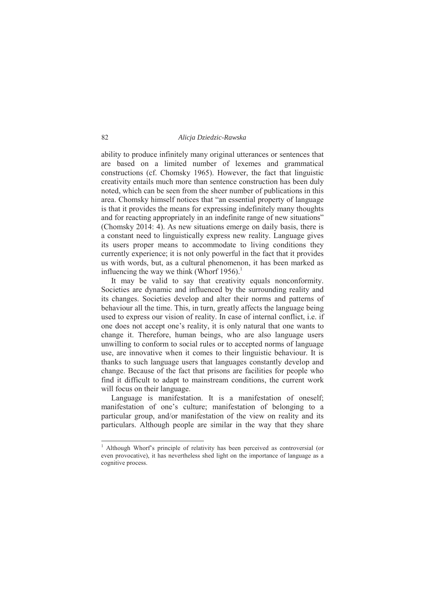ability to produce infinitely many original utterances or sentences that are based on a limited number of lexemes and grammatical constructions (cf. Chomsky 1965). However, the fact that linguistic creativity entails much more than sentence construction has been duly noted, which can be seen from the sheer number of publications in this area. Chomsky himself notices that "an essential property of language is that it provides the means for expressing indefinitely many thoughts and for reacting appropriately in an indefinite range of new situations" (Chomsky 2014: 4). As new situations emerge on daily basis, there is a constant need to linguistically express new reality. Language gives its users proper means to accommodate to living conditions they currently experience; it is not only powerful in the fact that it provides us with words, but, as a cultural phenomenon, it has been marked as influencing the way we think (Whorf 1956).<sup>1</sup>

 It may be valid to say that creativity equals nonconformity. Societies are dynamic and influenced by the surrounding reality and its changes. Societies develop and alter their norms and patterns of behaviour all the time. This, in turn, greatly affects the language being used to express our vision of reality. In case of internal conflict, i.e. if one does not accept one's reality, it is only natural that one wants to change it. Therefore, human beings, who are also language users unwilling to conform to social rules or to accepted norms of language use, are innovative when it comes to their linguistic behaviour. It is thanks to such language users that languages constantly develop and change. Because of the fact that prisons are facilities for people who find it difficult to adapt to mainstream conditions, the current work will focus on their language.

 Language is manifestation. It is a manifestation of oneself; manifestation of one's culture; manifestation of belonging to a particular group, and/or manifestation of the view on reality and its particulars. Although people are similar in the way that they share

 $\frac{1}{1}$ <sup>1</sup> Although Whorf's principle of relativity has been perceived as controversial (or even provocative), it has nevertheless shed light on the importance of language as a cognitive process.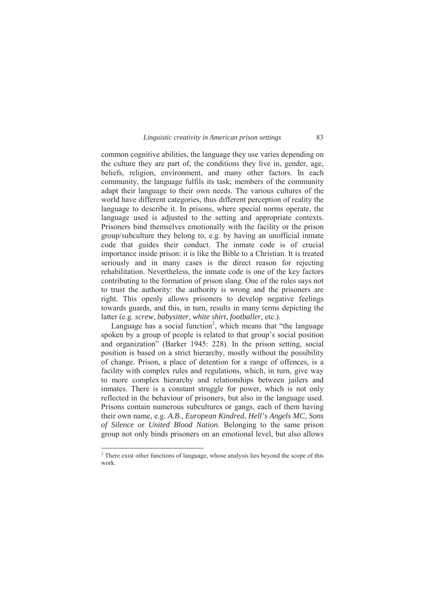common cognitive abilities, the language they use varies depending on the culture they are part of, the conditions they live in, gender, age, beliefs, religion, environment, and many other factors. In each community, the language fulfils its task; members of the community adapt their language to their own needs. The various cultures of the world have different categories, thus different perception of reality the language to describe it. In prisons, where special norms operate, the language used is adjusted to the setting and appropriate contexts. Prisoners bind themselves emotionally with the facility or the prison group/subculture they belong to, e.g. by having an unofficial inmate code that guides their conduct. The inmate code is of crucial importance inside prison: it is like the Bible to a Christian. It is treated seriously and in many cases is the direct reason for rejecting rehabilitation. Nevertheless, the inmate code is one of the key factors contributing to the formation of prison slang. One of the rules says not to trust the authority: the authority is wrong and the prisoners are right. This openly allows prisoners to develop negative feelings towards guards, and this, in turn, results in many terms depicting the latter (e.g. *screw*, *babysitter*, *white shirt*, *footballer*, etc.).

Language has a social function<sup>2</sup>, which means that "the language spoken by a group of people is related to that group's social position and organization" (Barker 1945: 228). In the prison setting, social position is based on a strict hierarchy, mostly without the possibility of change. Prison, a place of detention for a range of offences, is a facility with complex rules and regulations, which, in turn, give way to more complex hierarchy and relationships between jailers and inmates. There is a constant struggle for power, which is not only reflected in the behaviour of prisoners, but also in the language used. Prisons contain numerous subcultures or gangs, each of them having their own name, e.g. *A.B.*, *European Kindred*, *Hell's Angels MC*, *Sons of Silence* or *United Blood Nation*. Belonging to the same prison group not only binds prisoners on an emotional level, but also allows

 $\frac{1}{2}$ <sup>2</sup> There exist other functions of language, whose analysis lies beyond the scope of this work.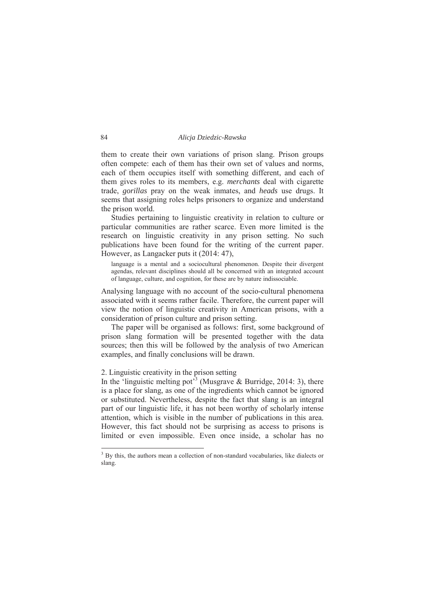them to create their own variations of prison slang. Prison groups often compete: each of them has their own set of values and norms, each of them occupies itself with something different, and each of them gives roles to its members, e.g. *merchants* deal with cigarette trade, *gorillas* pray on the weak inmates, and *heads* use drugs. It seems that assigning roles helps prisoners to organize and understand the prison world.

 Studies pertaining to linguistic creativity in relation to culture or particular communities are rather scarce. Even more limited is the research on linguistic creativity in any prison setting. No such publications have been found for the writing of the current paper. However, as Langacker puts it (2014: 47),

language is a mental and a sociocultural phenomenon. Despite their divergent agendas, relevant disciplines should all be concerned with an integrated account of language, culture, and cognition, for these are by nature indissociable.

Analysing language with no account of the socio-cultural phenomena associated with it seems rather facile. Therefore, the current paper will view the notion of linguistic creativity in American prisons, with a consideration of prison culture and prison setting.

 The paper will be organised as follows: first, some background of prison slang formation will be presented together with the data sources; then this will be followed by the analysis of two American examples, and finally conclusions will be drawn.

# 2. Linguistic creativity in the prison setting

In the 'linguistic melting pot<sup>33</sup> (Musgrave & Burridge, 2014: 3), there is a place for slang, as one of the ingredients which cannot be ignored or substituted. Nevertheless, despite the fact that slang is an integral part of our linguistic life, it has not been worthy of scholarly intense attention, which is visible in the number of publications in this area. However, this fact should not be surprising as access to prisons is limited or even impossible. Even once inside, a scholar has no

 $\frac{1}{3}$ <sup>3</sup> By this, the authors mean a collection of non-standard vocabularies, like dialects or slang.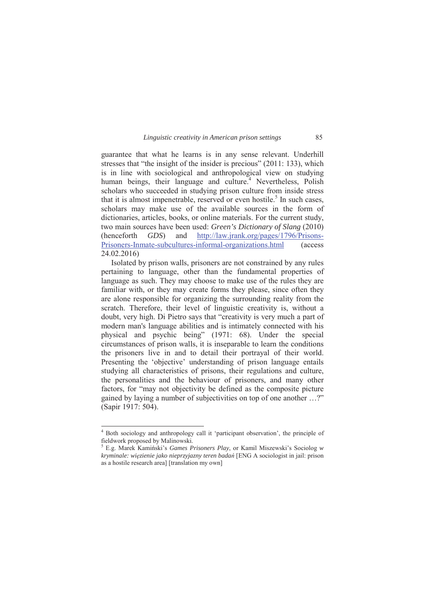guarantee that what he learns is in any sense relevant. Underhill stresses that "the insight of the insider is precious" (2011: 133), which is in line with sociological and anthropological view on studying human beings, their language and culture.<sup>4</sup> Nevertheless, Polish scholars who succeeded in studying prison culture from inside stress that it is almost impenetrable, reserved or even hostile.<sup>5</sup> In such cases, scholars may make use of the available sources in the form of dictionaries, articles, books, or online materials. For the current study, two main sources have been used: *Green's Dictionary of Slang* (2010) (henceforth *GDS*) and http://law.jrank.org/pages/1796/Prisons-Prisoners-Inmate-subcultures-informal-organizations.html (access 24.02.2016)

 Isolated by prison walls, prisoners are not constrained by any rules pertaining to language, other than the fundamental properties of language as such. They may choose to make use of the rules they are familiar with, or they may create forms they please, since often they are alone responsible for organizing the surrounding reality from the scratch. Therefore, their level of linguistic creativity is, without a doubt, very high. Di Pietro says that "creativity is very much a part of modern man's language abilities and is intimately connected with his physical and psychic being" (1971: 68). Under the special circumstances of prison walls, it is inseparable to learn the conditions the prisoners live in and to detail their portrayal of their world. Presenting the 'objective' understanding of prison language entails studying all characteristics of prisons, their regulations and culture, the personalities and the behaviour of prisoners, and many other factors, for "may not objectivity be defined as the composite picture gained by laying a number of subjectivities on top of one another …?" (Sapir 1917: 504).

 $\frac{1}{4}$ <sup>4</sup> Both sociology and anthropology call it 'participant observation', the principle of fieldwork proposed by Malinowski.

<sup>5</sup> E.g. Marek Kamiński's *Games Prisoners Play*, or Kamil Miszewski's Sociolog *w kryminale: więzienie jako nieprzyjazny teren badań* [ENG A sociologist in jail: prison as a hostile research area] [translation my own]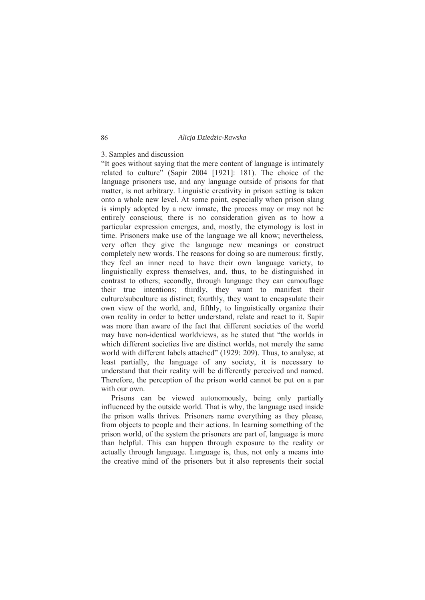# 3. Samples and discussion

"It goes without saying that the mere content of language is intimately related to culture" (Sapir 2004 [1921]: 181). The choice of the language prisoners use, and any language outside of prisons for that matter, is not arbitrary. Linguistic creativity in prison setting is taken onto a whole new level. At some point, especially when prison slang is simply adopted by a new inmate, the process may or may not be entirely conscious; there is no consideration given as to how a particular expression emerges, and, mostly, the etymology is lost in time. Prisoners make use of the language we all know; nevertheless, very often they give the language new meanings or construct completely new words. The reasons for doing so are numerous: firstly, they feel an inner need to have their own language variety, to linguistically express themselves, and, thus, to be distinguished in contrast to others; secondly, through language they can camouflage their true intentions; thirdly, they want to manifest their culture/subculture as distinct; fourthly, they want to encapsulate their own view of the world, and, fifthly, to linguistically organize their own reality in order to better understand, relate and react to it. Sapir was more than aware of the fact that different societies of the world may have non-identical worldviews, as he stated that "the worlds in which different societies live are distinct worlds, not merely the same world with different labels attached" (1929: 209). Thus, to analyse, at least partially, the language of any society, it is necessary to understand that their reality will be differently perceived and named. Therefore, the perception of the prison world cannot be put on a par with our own.

 Prisons can be viewed autonomously, being only partially influenced by the outside world. That is why, the language used inside the prison walls thrives. Prisoners name everything as they please, from objects to people and their actions. In learning something of the prison world, of the system the prisoners are part of, language is more than helpful. This can happen through exposure to the reality or actually through language. Language is, thus, not only a means into the creative mind of the prisoners but it also represents their social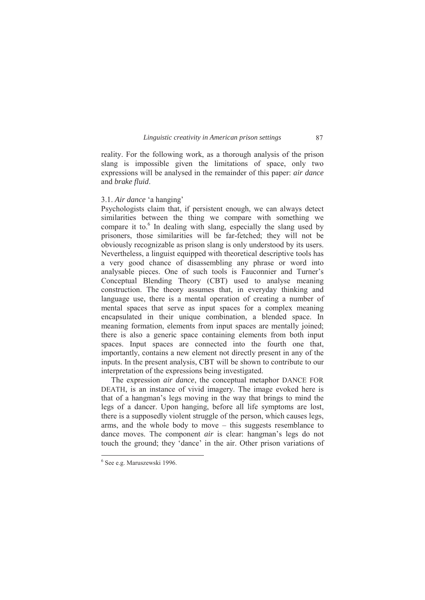reality. For the following work, as a thorough analysis of the prison slang is impossible given the limitations of space, only two expressions will be analysed in the remainder of this paper: *air dance* and *brake fluid*.

# 3.1. *Air dance* 'a hanging'

Psychologists claim that, if persistent enough, we can always detect similarities between the thing we compare with something we compare it to.<sup>6</sup> In dealing with slang, especially the slang used by prisoners, those similarities will be far-fetched; they will not be obviously recognizable as prison slang is only understood by its users. Nevertheless, a linguist equipped with theoretical descriptive tools has a very good chance of disassembling any phrase or word into analysable pieces. One of such tools is Fauconnier and Turner's Conceptual Blending Theory (CBT) used to analyse meaning construction. The theory assumes that, in everyday thinking and language use, there is a mental operation of creating a number of mental spaces that serve as input spaces for a complex meaning encapsulated in their unique combination, a blended space. In meaning formation, elements from input spaces are mentally joined; there is also a generic space containing elements from both input spaces. Input spaces are connected into the fourth one that, importantly, contains a new element not directly present in any of the inputs. In the present analysis, CBT will be shown to contribute to our interpretation of the expressions being investigated.

 The expression *air dance*, the conceptual metaphor DANCE FOR DEATH, is an instance of vivid imagery. The image evoked here is that of a hangman's legs moving in the way that brings to mind the legs of a dancer. Upon hanging, before all life symptoms are lost, there is a supposedly violent struggle of the person, which causes legs, arms, and the whole body to move – this suggests resemblance to dance moves. The component *air* is clear: hangman's legs do not touch the ground; they 'dance' in the air. Other prison variations of

 $\frac{1}{6}$ See e.g. Maruszewski 1996.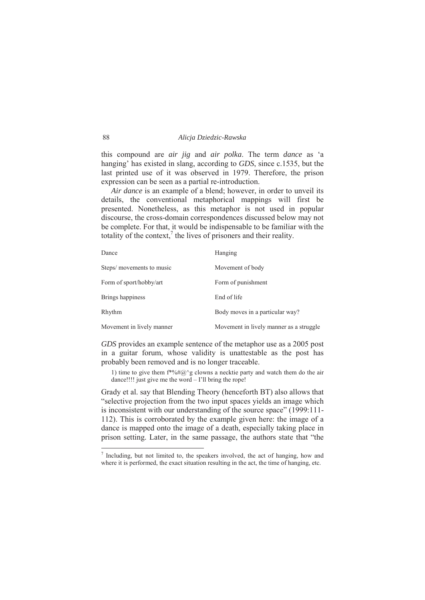this compound are *air jig* and *air polka*. The term *dance* as 'a hanging' has existed in slang, according to *GDS*, since c.1535, but the last printed use of it was observed in 1979. Therefore, the prison expression can be seen as a partial re-introduction.

 *Air dance* is an example of a blend; however, in order to unveil its details, the conventional metaphorical mappings will first be presented. Nonetheless, as this metaphor is not used in popular discourse, the cross-domain correspondences discussed below may not be complete. For that, it would be indispensable to be familiar with the totality of the context, $\lambda$  the lives of prisoners and their reality.

| Dance                     | Hanging                                 |
|---------------------------|-----------------------------------------|
| Steps/ movements to music | Movement of body                        |
| Form of sport/hobby/art   | Form of punishment                      |
| Brings happiness          | End of life                             |
| Rhythm                    | Body moves in a particular way?         |
| Movement in lively manner | Movement in lively manner as a struggle |

*GDS* provides an example sentence of the metaphor use as a 2005 post in a guitar forum, whose validity is unattestable as the post has probably been removed and is no longer traceable.

1) time to give them  $f^*\% \#(\partial_{\theta} \circ g)$  clowns a necktie party and watch them do the air dance!!!! just give me the word – I'll bring the rope!

Grady et al. say that Blending Theory (henceforth BT) also allows that "selective projection from the two input spaces yields an image which is inconsistent with our understanding of the source space" (1999:111- 112). This is corroborated by the example given here: the image of a dance is mapped onto the image of a death, especially taking place in prison setting. Later, in the same passage, the authors state that "the

 $\frac{1}{7}$  $\frac{7}{1}$  Including, but not limited to, the speakers involved, the act of hanging, how and where it is performed, the exact situation resulting in the act, the time of hanging, etc.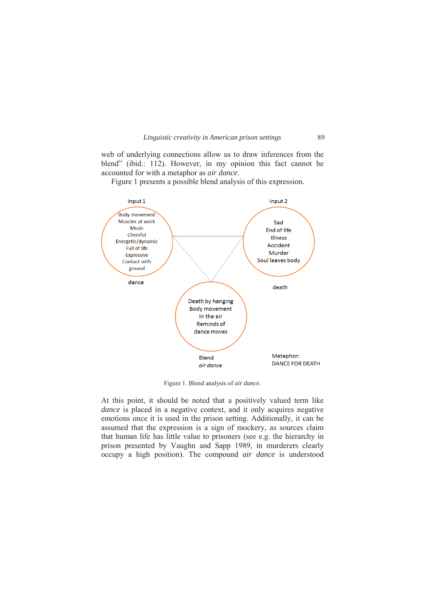

web of underlying connections allow us to draw inferences from the blend" (ibid.: 112). However, in my opinion this fact cannot be accounted for with a metaphor as *air dance*.

Figure 1 presents a possible blend analysis of this expression.



Figure 1. Blend analysis of *air dance*.

At this point, it should be noted that a positively valued term like *dance* is placed in a negative context, and it only acquires negative emotions once it is used in the prison setting. Additionally, it can be assumed that the expression is a sign of mockery, as sources claim that human life has little value to prisoners (see e.g. the hierarchy in prison presented by Vaughn and Sapp 1989, in murderers clearly occupy a high position). The compound *air dance* is understood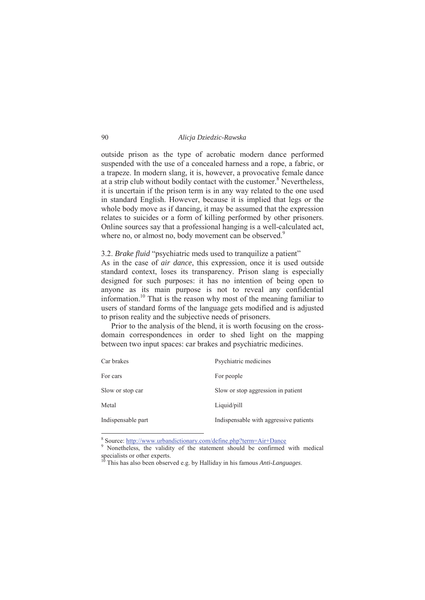outside prison as the type of acrobatic modern dance performed suspended with the use of a concealed harness and a rope, a fabric, or a trapeze. In modern slang, it is, however, a provocative female dance at a strip club without bodily contact with the customer.<sup>8</sup> Nevertheless, it is uncertain if the prison term is in any way related to the one used in standard English. However, because it is implied that legs or the whole body move as if dancing, it may be assumed that the expression relates to suicides or a form of killing performed by other prisoners. Online sources say that a professional hanging is a well-calculated act, where no, or almost no, body movement can be observed.<sup>9</sup>

3.2. *Brake fluid* "psychiatric meds used to tranquilize a patient"

As in the case of *air dance*, this expression, once it is used outside standard context, loses its transparency. Prison slang is especially designed for such purposes: it has no intention of being open to anyone as its main purpose is not to reveal any confidential information.<sup>10</sup> That is the reason why most of the meaning familiar to users of standard forms of the language gets modified and is adjusted to prison reality and the subjective needs of prisoners.

 Prior to the analysis of the blend, it is worth focusing on the crossdomain correspondences in order to shed light on the mapping between two input spaces: car brakes and psychiatric medicines.

| Car brakes         | Psychiatric medicines                  |
|--------------------|----------------------------------------|
| For cars           | For people                             |
| Slow or stop car   | Slow or stop aggression in patient     |
| Metal              | Liquid/pill                            |
| Indispensable part | Indispensable with aggressive patients |

 $\frac{1}{8}$ Source: http://www.urbandictionary.com/define.php?term=Air+Dance 9

<sup>&</sup>lt;sup>9</sup> Nonetheless, the validity of the statement should be confirmed with medical specialists or other experts.

<sup>10</sup> This has also been observed e.g. by Halliday in his famous *Anti-Languages*.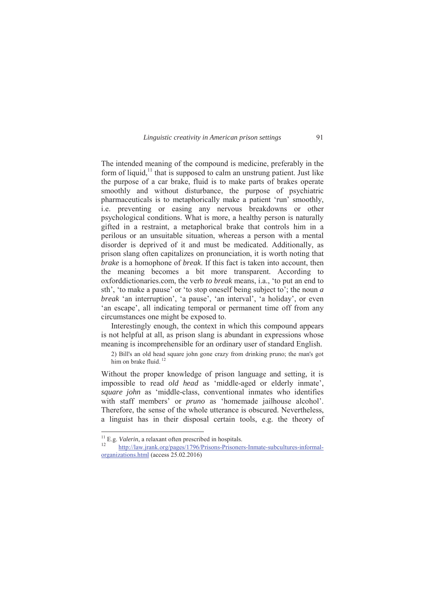The intended meaning of the compound is medicine, preferably in the form of liquid, $\frac{11}{11}$  that is supposed to calm an unstrung patient. Just like the purpose of a car brake, fluid is to make parts of brakes operate smoothly and without disturbance, the purpose of psychiatric pharmaceuticals is to metaphorically make a patient 'run' smoothly, i.e. preventing or easing any nervous breakdowns or other psychological conditions. What is more, a healthy person is naturally gifted in a restraint, a metaphorical brake that controls him in a perilous or an unsuitable situation, whereas a person with a mental disorder is deprived of it and must be medicated. Additionally, as prison slang often capitalizes on pronunciation, it is worth noting that *brake* is a homophone of *break*. If this fact is taken into account, then the meaning becomes a bit more transparent. According to oxforddictionaries.com, the verb *to break* means, i.a., 'to put an end to sth', 'to make a pause' or 'to stop oneself being subject to'; the noun *a break* 'an interruption', 'a pause', 'an interval', 'a holiday', or even 'an escape', all indicating temporal or permanent time off from any circumstances one might be exposed to.

 Interestingly enough, the context in which this compound appears is not helpful at all, as prison slang is abundant in expressions whose meaning is incomprehensible for an ordinary user of standard English.

2) Bill's an old head square john gone crazy from drinking pruno; the man's got him on brake fluid. $1$ 

Without the proper knowledge of prison language and setting, it is impossible to read *old head* as 'middle-aged or elderly inmate', *square john* as 'middle-class, conventional inmates who identifies with staff members' or *pruno* as 'homemade jailhouse alcohol'. Therefore, the sense of the whole utterance is obscured. Nevertheless, a linguist has in their disposal certain tools, e.g. the theory of

<sup>&</sup>lt;sup>11</sup> E.g. *Valerin*, a relaxant often prescribed in hospitals.<br><sup>12</sup> http://law.jrank.org/pages/1796/Prisons-Prisoners-Inmate-subcultures-informalorganizations.html (access 25.02.2016)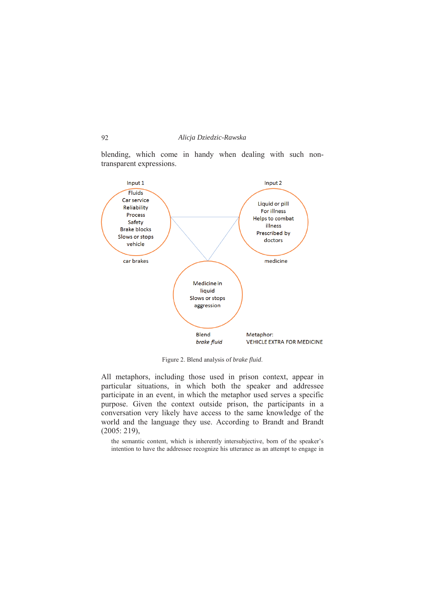blending, which come in handy when dealing with such nontransparent expressions.



Figure 2. Blend analysis of *brake fluid*.

All metaphors, including those used in prison context, appear in particular situations, in which both the speaker and addressee participate in an event, in which the metaphor used serves a specific purpose. Given the context outside prison, the participants in a conversation very likely have access to the same knowledge of the world and the language they use. According to Brandt and Brandt (2005: 219),

the semantic content, which is inherently intersubjective, born of the speaker's intention to have the addressee recognize his utterance as an attempt to engage in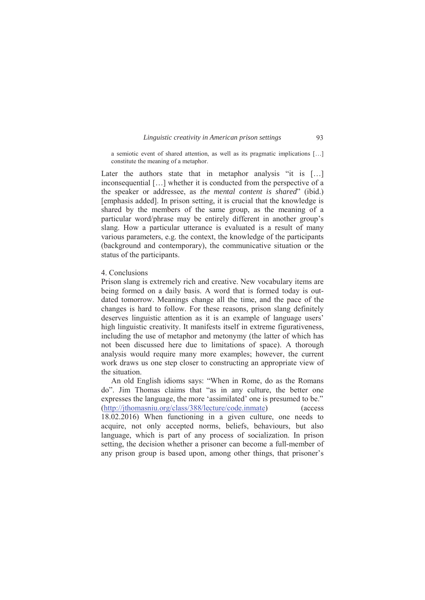a semiotic event of shared attention, as well as its pragmatic implications […] constitute the meaning of a metaphor.

Later the authors state that in metaphor analysis "it is [...] inconsequential […] whether it is conducted from the perspective of a the speaker or addressee, as *the mental content is shared*" (ibid.) [emphasis added]. In prison setting, it is crucial that the knowledge is shared by the members of the same group, as the meaning of a particular word/phrase may be entirely different in another group's slang. How a particular utterance is evaluated is a result of many various parameters, e.g. the context, the knowledge of the participants (background and contemporary), the communicative situation or the status of the participants.

## 4. Conclusions

Prison slang is extremely rich and creative. New vocabulary items are being formed on a daily basis. A word that is formed today is outdated tomorrow. Meanings change all the time, and the pace of the changes is hard to follow. For these reasons, prison slang definitely deserves linguistic attention as it is an example of language users' high linguistic creativity. It manifests itself in extreme figurativeness, including the use of metaphor and metonymy (the latter of which has not been discussed here due to limitations of space). A thorough analysis would require many more examples; however, the current work draws us one step closer to constructing an appropriate view of the situation.

 An old English idioms says: "When in Rome, do as the Romans do". Jim Thomas claims that "as in any culture, the better one expresses the language, the more 'assimilated' one is presumed to be." (http://jthomasniu.org/class/388/lecture/code.inmate) (access 18.02.2016) When functioning in a given culture, one needs to acquire, not only accepted norms, beliefs, behaviours, but also language, which is part of any process of socialization. In prison setting, the decision whether a prisoner can become a full-member of any prison group is based upon, among other things, that prisoner's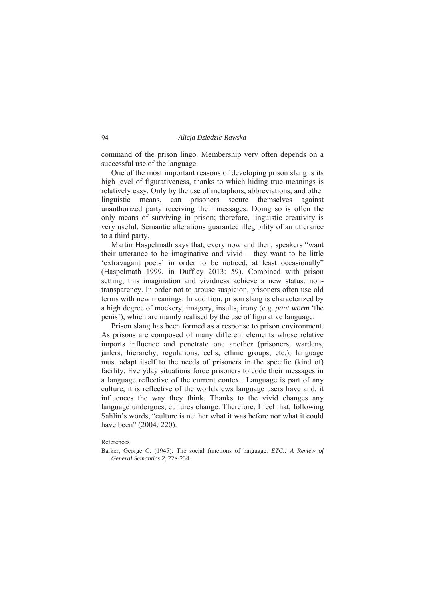command of the prison lingo. Membership very often depends on a successful use of the language.

 One of the most important reasons of developing prison slang is its high level of figurativeness, thanks to which hiding true meanings is relatively easy. Only by the use of metaphors, abbreviations, and other linguistic means, can prisoners secure themselves against unauthorized party receiving their messages. Doing so is often the only means of surviving in prison; therefore, linguistic creativity is very useful. Semantic alterations guarantee illegibility of an utterance to a third party.

 Martin Haspelmath says that, every now and then, speakers "want their utterance to be imaginative and vivid – they want to be little 'extravagant poets' in order to be noticed, at least occasionally" (Haspelmath 1999, in Duffley 2013: 59). Combined with prison setting, this imagination and vividness achieve a new status: nontransparency. In order not to arouse suspicion, prisoners often use old terms with new meanings. In addition, prison slang is characterized by a high degree of mockery, imagery, insults, irony (e.g. *pant worm* 'the penis'), which are mainly realised by the use of figurative language.

 Prison slang has been formed as a response to prison environment. As prisons are composed of many different elements whose relative imports influence and penetrate one another (prisoners, wardens, jailers, hierarchy, regulations, cells, ethnic groups, etc.), language must adapt itself to the needs of prisoners in the specific (kind of) facility. Everyday situations force prisoners to code their messages in a language reflective of the current context. Language is part of any culture, it is reflective of the worldviews language users have and, it influences the way they think. Thanks to the vivid changes any language undergoes, cultures change. Therefore, I feel that, following Sahlin's words, "culture is neither what it was before nor what it could have been" (2004: 220).

## References

Barker, George C. (1945). The social functions of language. *ETC.: A Review of General Semantics 2*, 228-234.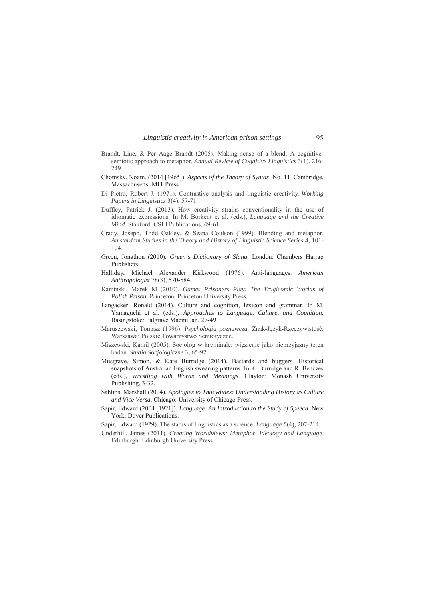- Brandt, Line, & Per Aage Brandt (2005). Making sense of a blend: A cognitivesemiotic approach to metaphor. *Annual Review of Cognitive Linguistics* 3(1), 216- 249
- Chomsky, Noam. (2014 [1965]). *Aspects of the Theory of Syntax*. No. 11. Cambridge, Massachusetts: MIT Press.
- Di Pietro, Robert J. (1971). Contrastive analysis and linguistic creativity. *Working Papers in Linguistics* 3(4), 57-71.
- Duffley, Patrick J. (2013). How creativity strains conventionality in the use of idiomatic expressions. In M. Borkent et al. (eds.), *Language and the Creative Mind*. Stanford: CSLI Publications, 49-61.
- Grady, Joseph, Todd Oakley, & Seana Coulson (1999). Blending and metaphor. *Amsterdam Studies in the Theory and History of Linguistic Science Series 4*, 101- 124.
- Green, Jonathon (2010). *Green's Dictionary of Slang*. London: Chambers Harrap Publishers.
- Halliday, Michael Alexander Kirkwood (1976). Anti-languages. *American Anthropologist* 78(3), 570-584.
- Kaminski, Marek M. (2010). *Games Prisoners Play: The Tragicomic Worlds of Polish Prison*. Princeton: Princeton University Press.
- Langacker, Ronald (2014). Culture and cognition, lexicon and grammar. In M. Yamaguchi et al. (eds.), *Approaches to Language, Culture, and Cognition*. Basingstoke: Palgrave Macmillan, 27-49.
- Maruszewski, Tomasz (1996). *Psychologia poznawcza*. Znak-Język-Rzeczywistość. Warszawa: Polskie Towarzystwo Semiotyczne.
- Miszewski, Kamil (2005). Socjolog w kryminale: więzienie jako nieprzyjazny teren badań. *Studia Socjologiczne* 3, 65-92.
- Musgrave, Simon, & Kate Burridge (2014). Bastards and buggers. Historical snapshots of Australian English swearing patterns. In K. Burridge and R. Benczes (eds.), *Wrestling with Words and Meanings*. Clayton: Monash University Publishing, 3-32.
- Sahlins, Marshall (2004). *Apologies to Thucydides: Understanding History as Culture and Vice Versa*. Chicago: University of Chicago Press.
- Sapir, Edward (2004 [1921]). *Language. An Introduction to the Study of Speech*. New York: Dover Publications.
- Sapir, Edward (1929). The status of linguistics as a science. *Language* 5(4), 207-214.
- Underhill, James (2011). *Creating Worldviews: Metaphor, Ideology and Language*. Edinburgh: Edinburgh University Press.